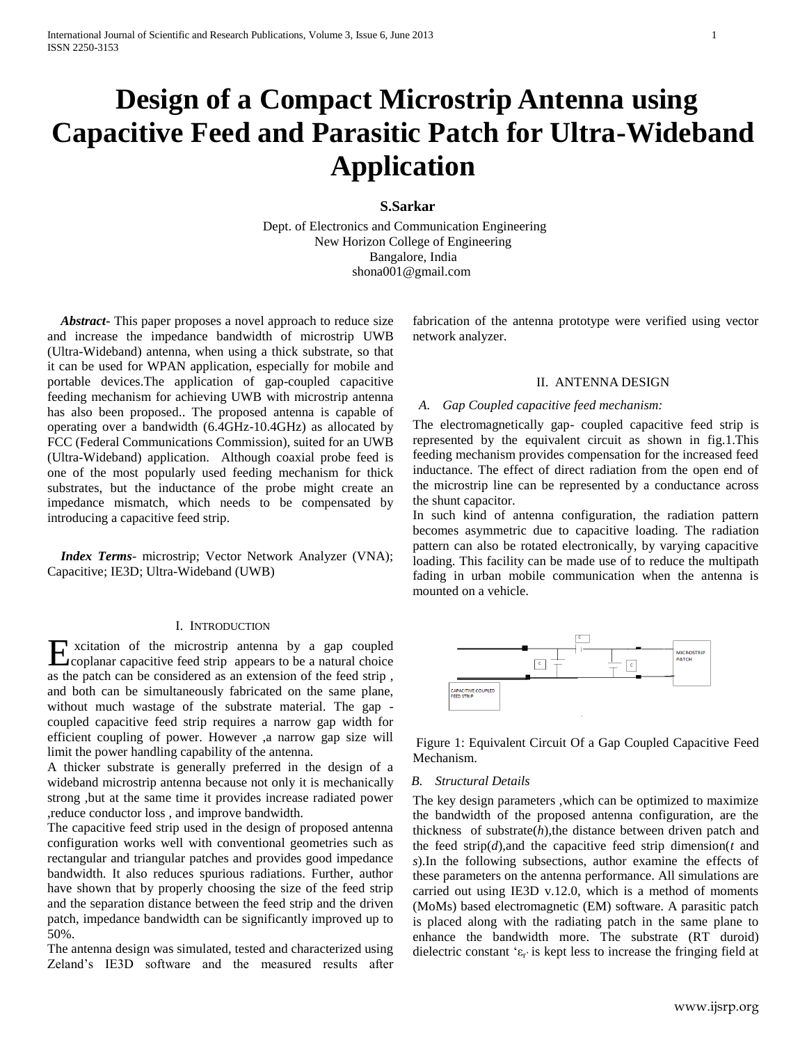# **Design of a Compact Microstrip Antenna using Capacitive Feed and Parasitic Patch for Ultra-Wideband Application**

**S.Sarkar**

Dept. of Electronics and Communication Engineering New Horizon College of Engineering Bangalore, India shona001@gmail.com

 *Abstract***-** This paper proposes a novel approach to reduce size and increase the impedance bandwidth of microstrip UWB (Ultra-Wideband) antenna, when using a thick substrate, so that it can be used for WPAN application, especially for mobile and portable devices.The application of gap-coupled capacitive feeding mechanism for achieving UWB with microstrip antenna has also been proposed.. The proposed antenna is capable of operating over a bandwidth (6.4GHz-10.4GHz) as allocated by FCC (Federal Communications Commission), suited for an UWB (Ultra-Wideband) application. Although coaxial probe feed is one of the most popularly used feeding mechanism for thick substrates, but the inductance of the probe might create an impedance mismatch, which needs to be compensated by introducing a capacitive feed strip.

 *Index Terms*- microstrip; Vector Network Analyzer (VNA); Capacitive; IE3D; Ultra-Wideband (UWB)

#### I. INTRODUCTION

xcitation of the microstrip antenna by a gap coupled Excitation of the microstrip antenna by a gap coupled<br>coplanar capacitive feed strip appears to be a natural choice as the patch can be considered as an extension of the feed strip , and both can be simultaneously fabricated on the same plane, without much wastage of the substrate material. The gap coupled capacitive feed strip requires a narrow gap width for efficient coupling of power. However ,a narrow gap size will limit the power handling capability of the antenna.

A thicker substrate is generally preferred in the design of a wideband microstrip antenna because not only it is mechanically strong ,but at the same time it provides increase radiated power ,reduce conductor loss , and improve bandwidth.

The capacitive feed strip used in the design of proposed antenna configuration works well with conventional geometries such as rectangular and triangular patches and provides good impedance bandwidth. It also reduces spurious radiations. Further, author have shown that by properly choosing the size of the feed strip and the separation distance between the feed strip and the driven patch, impedance bandwidth can be significantly improved up to 50%.

The antenna design was simulated, tested and characterized using Zeland's IE3D software and the measured results after fabrication of the antenna prototype were verified using vector network analyzer.

#### II. ANTENNA DESIGN

### *A. Gap Coupled capacitive feed mechanism:*

The electromagnetically gap- coupled capacitive feed strip is represented by the equivalent circuit as shown in fig.1.This feeding mechanism provides compensation for the increased feed inductance. The effect of direct radiation from the open end of the microstrip line can be represented by a conductance across the shunt capacitor.

In such kind of antenna configuration, the radiation pattern becomes asymmetric due to capacitive loading. The radiation pattern can also be rotated electronically, by varying capacitive loading. This facility can be made use of to reduce the multipath fading in urban mobile communication when the antenna is mounted on a vehicle.



Figure 1: Equivalent Circuit Of a Gap Coupled Capacitive Feed Mechanism.

#### *B. Structural Details*

The key design parameters ,which can be optimized to maximize the bandwidth of the proposed antenna configuration, are the thickness of substrate(*h*),the distance between driven patch and the feed  $\text{strip}(d)$ , and the capacitive feed strip dimension( $t$  and *s*).In the following subsections, author examine the effects of these parameters on the antenna performance. All simulations are carried out using IE3D v.12.0, which is a method of moments (MoMs) based electromagnetic (EM) software. A parasitic patch is placed along with the radiating patch in the same plane to enhance the bandwidth more. The substrate (RT duroid) dielectric constant ' $\varepsilon_r$ ' is kept less to increase the fringing field at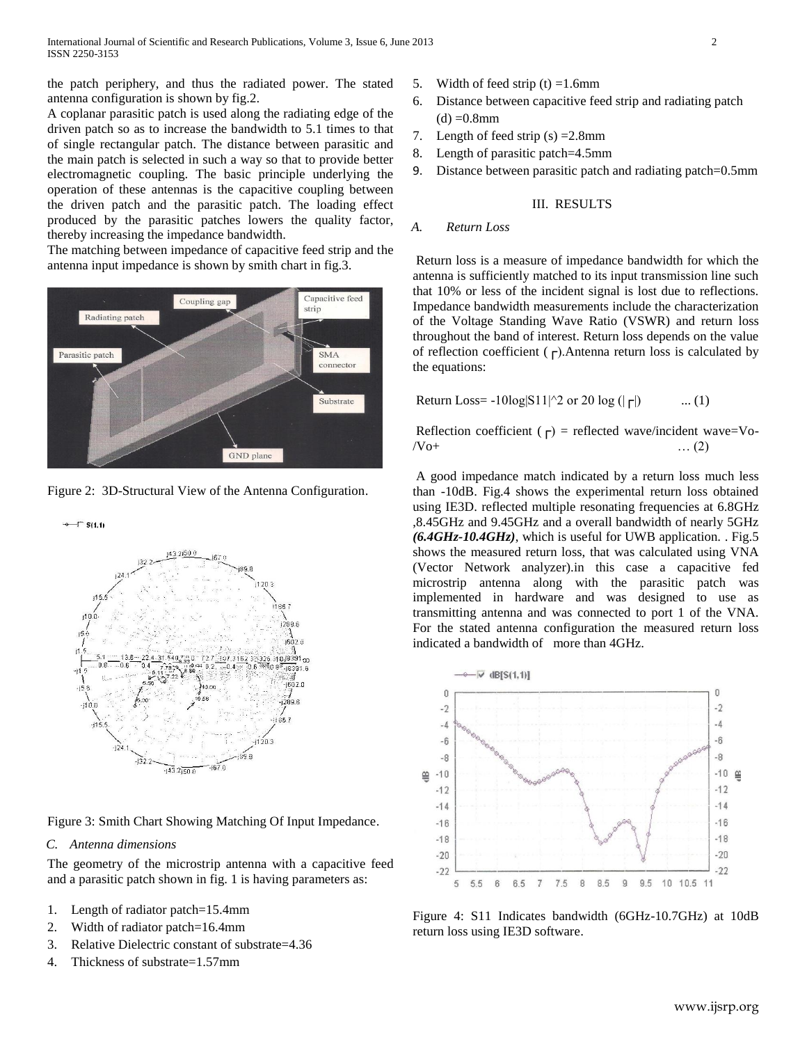the patch periphery, and thus the radiated power. The stated antenna configuration is shown by fig.2.

A coplanar parasitic patch is used along the radiating edge of the driven patch so as to increase the bandwidth to 5.1 times to that of single rectangular patch. The distance between parasitic and the main patch is selected in such a way so that to provide better electromagnetic coupling. The basic principle underlying the operation of these antennas is the capacitive coupling between the driven patch and the parasitic patch. The loading effect produced by the parasitic patches lowers the quality factor, thereby increasing the impedance bandwidth.

The matching between impedance of capacitive feed strip and the antenna input impedance is shown by smith chart in fig.3.



Figure 2: 3D-Structural View of the Antenna Configuration.



Figure 3: Smith Chart Showing Matching Of Input Impedance.

## *C. Antenna dimensions*

The geometry of the microstrip antenna with a capacitive feed and a parasitic patch shown in fig. 1 is having parameters as:

- 1. Length of radiator patch=15.4mm
- 2. Width of radiator patch=16.4mm
- 3. Relative Dielectric constant of substrate=4.36
- 4. Thickness of substrate=1.57mm
- 5. Width of feed strip  $(t) = 1.6$ mm
- 6. Distance between capacitive feed strip and radiating patch  $(d) = 0.8$ mm
- 7. Length of feed strip  $(s) = 2.8$ mm
- 8. Length of parasitic patch=4.5mm
- 9. Distance between parasitic patch and radiating patch=0.5mm

## III. RESULTS

## *A. Return Loss*

Return loss is a measure of impedance bandwidth for which the antenna is sufficiently matched to its input transmission line such that 10% or less of the incident signal is lost due to reflections. Impedance bandwidth measurements include the characterization of the Voltage Standing Wave Ratio (VSWR) and return loss throughout the band of interest. Return loss depends on the value of reflection coefficient ( $\Gamma$ ). Antenna return loss is calculated by the equations:

Return Loss = 
$$
-10\log |S11|^{2}
$$
 or 20 log ( $|\Gamma|$ ) ... (1)

Reflection coefficient ( $\Gamma$ ) = reflected wave/incident wave=Vo- $/ \sqrt{O+}$  … (2)

A good impedance match indicated by a return loss much less than -10dB. Fig.4 shows the experimental return loss obtained using IE3D. reflected multiple resonating frequencies at 6.8GHz ,8.45GHz and 9.45GHz and a overall bandwidth of nearly 5GHz *(6.4GHz-10.4GHz)*, which is useful for UWB application. . Fig.5 shows the measured return loss, that was calculated using VNA (Vector Network analyzer).in this case a capacitive fed microstrip antenna along with the parasitic patch was implemented in hardware and was designed to use as transmitting antenna and was connected to port 1 of the VNA. For the stated antenna configuration the measured return loss indicated a bandwidth of more than 4GHz.



Figure 4: S11 Indicates bandwidth (6GHz-10.7GHz) at 10dB return loss using IE3D software.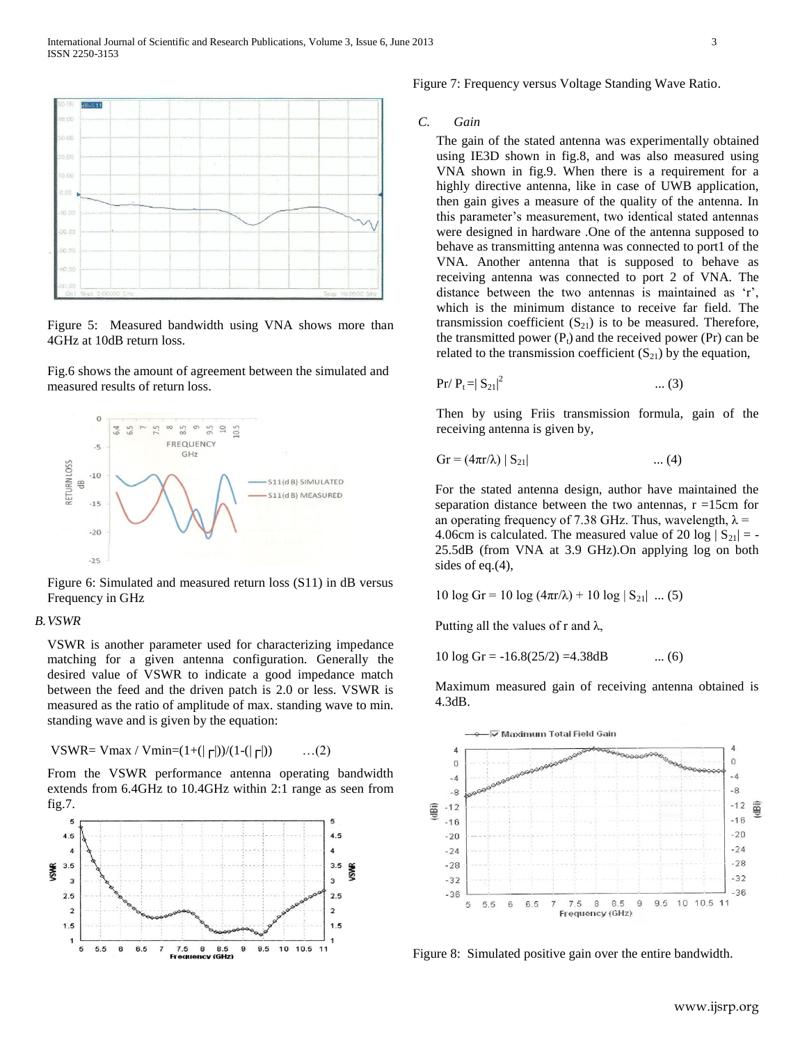

Figure 5: Measured bandwidth using VNA shows more than 4GHz at 10dB return loss.

Fig.6 shows the amount of agreement between the simulated and measured results of return loss.



Figure 6: Simulated and measured return loss (S11) in dB versus Frequency in GHz

#### *B.VSWR*

VSWR is another parameter used for characterizing impedance matching for a given antenna configuration. Generally the desired value of VSWR to indicate a good impedance match between the feed and the driven patch is 2.0 or less. VSWR is measured as the ratio of amplitude of max. standing wave to min. standing wave and is given by the equation:

VSWR= Vmax / Vmin= $(1+(| \nabla f|)/((1-(| \nabla f|))$  ...(2)

From the VSWR performance antenna operating bandwidth extends from 6.4GHz to 10.4GHz within 2:1 range as seen from fig.7.



Figure 7: Frequency versus Voltage Standing Wave Ratio.

#### *C. Gain*

The gain of the stated antenna was experimentally obtained using IE3D shown in fig.8, and was also measured using VNA shown in fig.9. When there is a requirement for a highly directive antenna, like in case of UWB application, then gain gives a measure of the quality of the antenna. In this parameter's measurement, two identical stated antennas were designed in hardware .One of the antenna supposed to behave as transmitting antenna was connected to port1 of the VNA. Another antenna that is supposed to behave as receiving antenna was connected to port 2 of VNA. The distance between the two antennas is maintained as 'r', which is the minimum distance to receive far field. The transmission coefficient  $(S_{21})$  is to be measured. Therefore, the transmitted power  $(P_t)$  and the received power  $(Pr)$  can be related to the transmission coefficient  $(S_{21})$  by the equation,

$$
Pr / P_t = |S_{21}|^2
$$
 ... (3)

Then by using Friis transmission formula, gain of the receiving antenna is given by,

$$
Gr = (4\pi r/\lambda) |S_{21}| \qquad \qquad \dots (4)
$$

For the stated antenna design, author have maintained the separation distance between the two antennas,  $r = 15$ cm for an operating frequency of 7.38 GHz. Thus, wavelength,  $\lambda$  = 4.06cm is calculated. The measured value of 20 log  $|S_{21}| = -$ 25.5dB (from VNA at 3.9 GHz).On applying log on both sides of eq.(4),

$$
10 \log \text{Gr} = 10 \log (4\pi r/\lambda) + 10 \log |S_{21}| \dots (5)
$$

Putting all the values of r and  $\lambda$ ,

10  $\log$  Gr = -16.8(25/2) =4.38dB ... (6)

Maximum measured gain of receiving antenna obtained is 4.3dB.



Figure 8: Simulated positive gain over the entire bandwidth.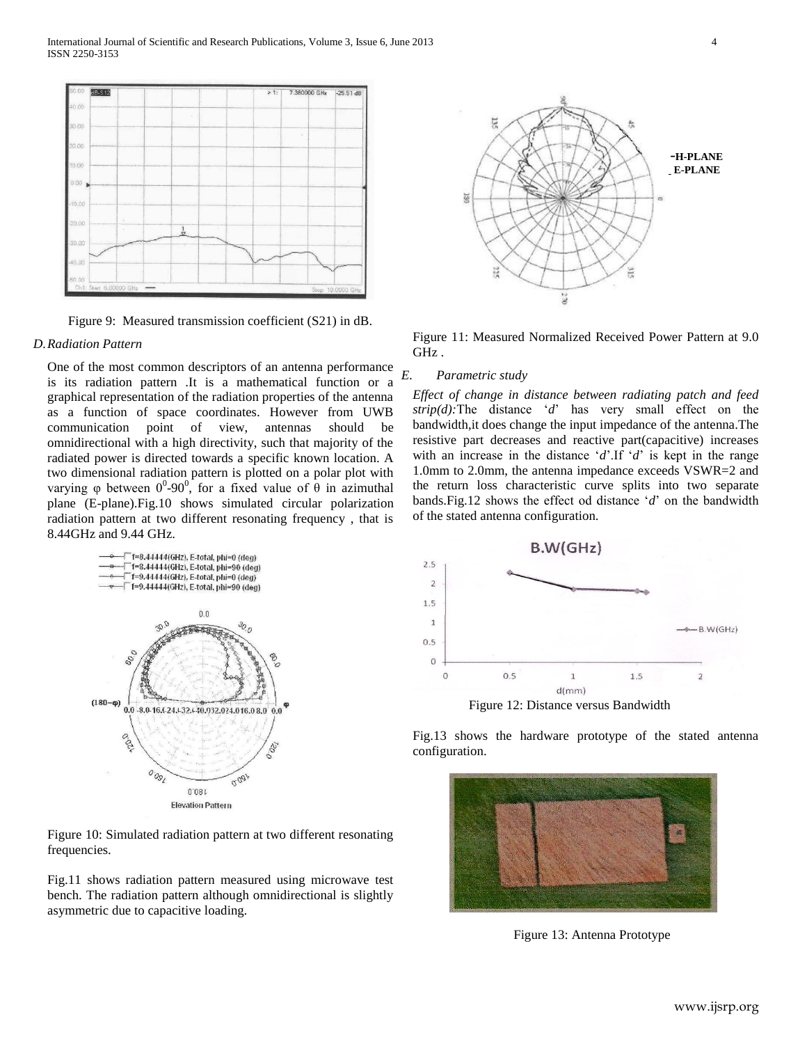

Figure 9: Measured transmission coefficient (S21) in dB.

#### *D.Radiation Pattern*

One of the most common descriptors of an antenna performance is its radiation pattern .It is a mathematical function or a graphical representation of the radiation properties of the antenna as a function of space coordinates. However from UWB communication point of view, antennas should be omnidirectional with a high directivity, such that majority of the radiated power is directed towards a specific known location. A two dimensional radiation pattern is plotted on a polar plot with varying φ between  $0^0$ -90<sup>0</sup>, for a fixed value of  $\theta$  in azimuthal plane (E-plane).Fig.10 shows simulated circular polarization radiation pattern at two different resonating frequency , that is 8.44GHz and 9.44 GHz.



Figure 10: Simulated radiation pattern at two different resonating frequencies.

Fig.11 shows radiation pattern measured using microwave test bench. The radiation pattern although omnidirectional is slightly asymmetric due to capacitive loading.



Figure 11: Measured Normalized Received Power Pattern at 9.0 GHz .

#### *E. Parametric study*

*Effect of change in distance between radiating patch and feed strip(d):*The distance '*d*' has very small effect on the bandwidth,it does change the input impedance of the antenna.The resistive part decreases and reactive part(capacitive) increases with an increase in the distance '*d*'.If '*d*' is kept in the range 1.0mm to 2.0mm, the antenna impedance exceeds VSWR=2 and the return loss characteristic curve splits into two separate bands.Fig.12 shows the effect od distance '*d*' on the bandwidth of the stated antenna configuration.



Figure 12: Distance versus Bandwidth

Fig.13 shows the hardware prototype of the stated antenna configuration.



Figure 13: Antenna Prototype